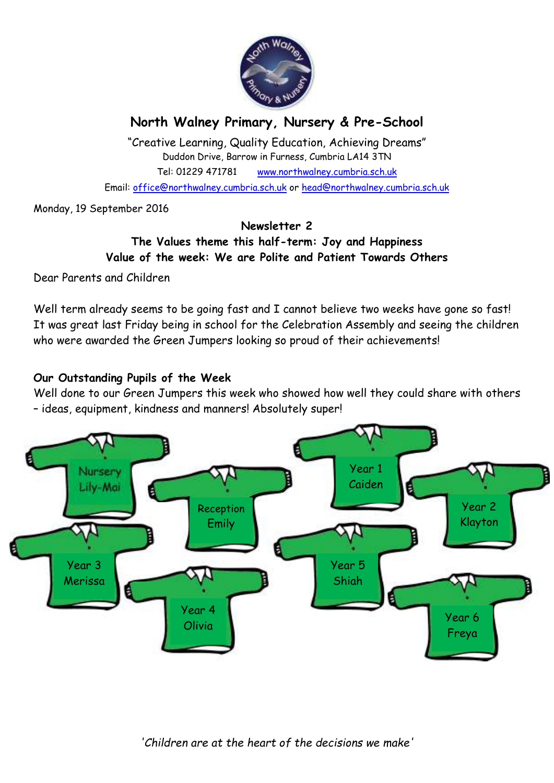

# **North Walney Primary, Nursery & Pre-School**

"Creative Learning, Quality Education, Achieving Dreams" Duddon Drive, Barrow in Furness, Cumbria LA14 3TN Tel: 01229 471781 www.northwalney.cumbria.sch.uk Email: office@northwalney.cumbria.sch.uk or head@northwalney.cumbria.sch.uk

Monday, 19 September 2016

## **Newsletter 2**

## **The Values theme this half-term: Joy and Happiness Value of the week: We are Polite and Patient Towards Others**

Dear Parents and Children

Well term already seems to be going fast and I cannot believe two weeks have gone so fast! It was great last Friday being in school for the Celebration Assembly and seeing the children who were awarded the Green Jumpers looking so proud of their achievements!

## **Our Outstanding Pupils of the Week**

Well done to our Green Jumpers this week who showed how well they could share with others – ideas, equipment, kindness and manners! Absolutely super!